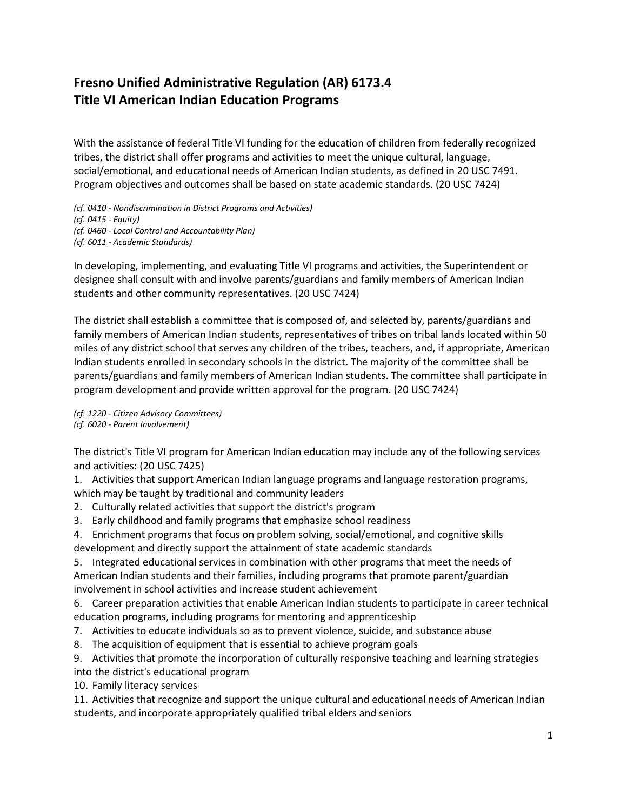## **Fresno Unified Administrative Regulation (AR) 6173.4 Title VI American Indian Education Programs**

With the assistance of federal Title VI funding for the education of children from federally recognized tribes, the district shall offer programs and activities to meet the unique cultural, language, social/emotional, and educational needs of American Indian students, as defined in 20 USC 7491. Program objectives and outcomes shall be based on state academic standards. (20 USC 7424)

*(cf. 0410 - Nondiscrimination in District Programs and Activities)*

*(cf. 0415 - Equity)*

*(cf. 0460 - Local Control and Accountability Plan)*

*(cf. 6011 - Academic Standards)*

In developing, implementing, and evaluating Title VI programs and activities, the Superintendent or designee shall consult with and involve parents/guardians and family members of American Indian students and other community representatives. (20 USC 7424)

The district shall establish a committee that is composed of, and selected by, parents/guardians and family members of American Indian students, representatives of tribes on tribal lands located within 50 miles of any district school that serves any children of the tribes, teachers, and, if appropriate, American Indian students enrolled in secondary schools in the district. The majority of the committee shall be parents/guardians and family members of American Indian students. The committee shall participate in program development and provide written approval for the program. (20 USC 7424)

*(cf. 1220 - Citizen Advisory Committees) (cf. 6020 - Parent Involvement)*

The district's Title VI program for American Indian education may include any of the following services and activities: (20 USC 7425)

1. Activities that support American Indian language programs and language restoration programs, which may be taught by traditional and community leaders

- 2. Culturally related activities that support the district's program
- 3. Early childhood and family programs that emphasize school readiness
- 4. Enrichment programs that focus on problem solving, social/emotional, and cognitive skills development and directly support the attainment of state academic standards

5. Integrated educational services in combination with other programs that meet the needs of American Indian students and their families, including programs that promote parent/guardian involvement in school activities and increase student achievement

6. Career preparation activities that enable American Indian students to participate in career technical education programs, including programs for mentoring and apprenticeship

- 7. Activities to educate individuals so as to prevent violence, suicide, and substance abuse
- 8. The acquisition of equipment that is essential to achieve program goals

9. Activities that promote the incorporation of culturally responsive teaching and learning strategies

into the district's educational program

10. Family literacy services

11. Activities that recognize and support the unique cultural and educational needs of American Indian students, and incorporate appropriately qualified tribal elders and seniors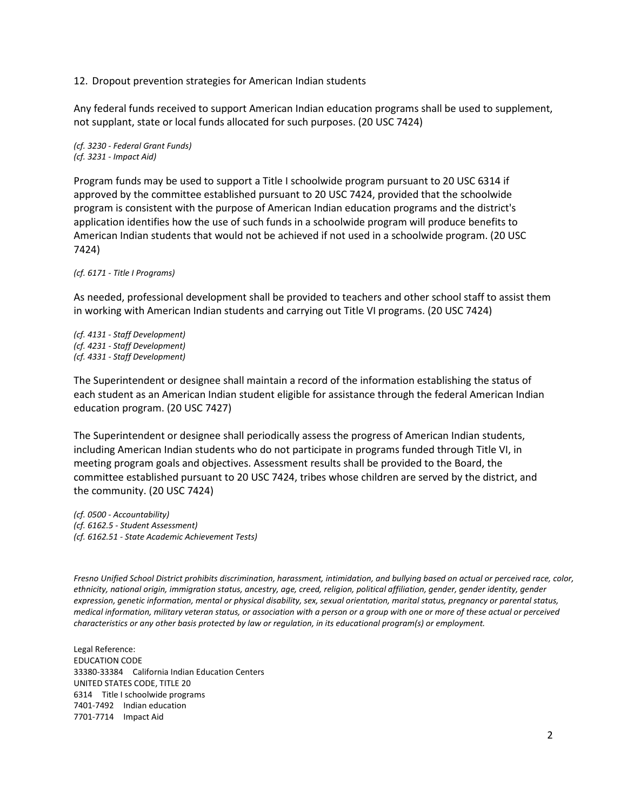12. Dropout prevention strategies for American Indian students

Any federal funds received to support American Indian education programs shall be used to supplement, not supplant, state or local funds allocated for such purposes. (20 USC 7424)

*(cf. 3230 - Federal Grant Funds) (cf. 3231 - Impact Aid)*

Program funds may be used to support a Title I schoolwide program pursuant to 20 USC 6314 if approved by the committee established pursuant to 20 USC 7424, provided that the schoolwide program is consistent with the purpose of American Indian education programs and the district's application identifies how the use of such funds in a schoolwide program will produce benefits to American Indian students that would not be achieved if not used in a schoolwide program. (20 USC 7424)

*(cf. 6171 - Title I Programs)*

As needed, professional development shall be provided to teachers and other school staff to assist them in working with American Indian students and carrying out Title VI programs. (20 USC 7424)

*(cf. 4131 - Staff Development) (cf. 4231 - Staff Development) (cf. 4331 - Staff Development)*

The Superintendent or designee shall maintain a record of the information establishing the status of each student as an American Indian student eligible for assistance through the federal American Indian education program. (20 USC 7427)

The Superintendent or designee shall periodically assess the progress of American Indian students, including American Indian students who do not participate in programs funded through Title VI, in meeting program goals and objectives. Assessment results shall be provided to the Board, the committee established pursuant to 20 USC 7424, tribes whose children are served by the district, and the community. (20 USC 7424)

*(cf. 0500 - Accountability) (cf. 6162.5 - Student Assessment) (cf. 6162.51 - State Academic Achievement Tests)*

*Fresno Unified School District prohibits discrimination, harassment, intimidation, and bullying based on actual or perceived race, color, ethnicity, national origin, immigration status, ancestry, age, creed, religion, political affiliation, gender, gender identity, gender expression, genetic information, mental or physical disability, sex, sexual orientation, marital status, pregnancy or parental status, medical information, military veteran status, or association with a person or a group with one or more of these actual or perceived characteristics or any other basis protected by law or regulation, in its educational program(s) or employment.*

Legal Reference: EDUCATION CODE 33380-33384 California Indian Education Centers UNITED STATES CODE, TITLE 20 6314 Title I schoolwide programs 7401-7492 Indian education 7701-7714 Impact Aid